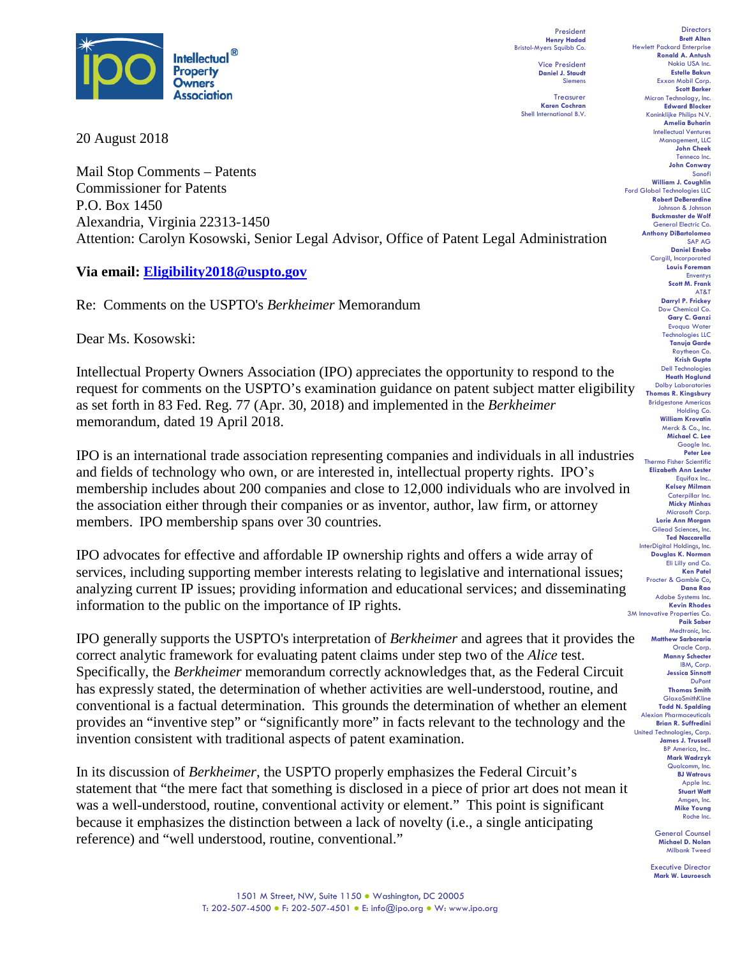

20 August 2018

Mail Stop Comments – Patents Commissioner for Patents P.O. Box 1450 Alexandria, Virginia 22313-1450 Attention: Carolyn Kosowski, Senior Legal Advisor, Office of Patent Legal Administration

## **Via email: Eligibility2018@uspto.gov**

Re: Comments on the USPTO's *Berkheimer* Memorandum

Dear Ms. Kosowski:

Intellectual Property Owners Association (IPO) appreciates the opportunity to respond to the request for comments on the USPTO's examination guidance on patent subject matter eligibility as set forth in 83 Fed. Reg. 77 (Apr. 30, 2018) and implemented in the *Berkheimer* memorandum, dated 19 April 2018.

IPO is an international trade association representing companies and individuals in all industries and fields of technology who own, or are interested in, intellectual property rights.  IPO's membership includes about 200 companies and close to 12,000 individuals who are involved in the association either through their companies or as inventor, author, law firm, or attorney members. IPO membership spans over 30 countries.

IPO advocates for effective and affordable IP ownership rights and offers a wide array of services, including supporting member interests relating to legislative and international issues; analyzing current IP issues; providing information and educational services; and disseminating information to the public on the importance of IP rights.

IPO generally supports the USPTO's interpretation of *Berkheimer* and agrees that it provides the correct analytic framework for evaluating patent claims under step two of the *Alice* test. Specifically, the *Berkheimer* memorandum correctly acknowledges that, as the Federal Circuit has expressly stated, the determination of whether activities are well-understood, routine, and conventional is a factual determination. This grounds the determination of whether an element provides an "inventive step" or "significantly more" in facts relevant to the technology and the invention consistent with traditional aspects of patent examination.

In its discussion of *Berkheimer*, the USPTO properly emphasizes the Federal Circuit's statement that "the mere fact that something is disclosed in a piece of prior art does not mean it was a well-understood, routine, conventional activity or element." This point is significant because it emphasizes the distinction between a lack of novelty (i.e., a single anticipating reference) and "well understood, routine, conventional."

President **Henry Hadad** Bristol-Myers Squibb Co. Vice President **Daniel J. Staudt** Siemens

**Treasurer Karen Cochran** Shell International B.V.

**Directors Brett Alten** Hewlett Packard Enterprise **Ronald A. Antush** Nokia USA Inc. **Estelle Bakun** Exxon Mobil Corp. **Scott Barker** Micron Technology, Inc. **Edward Blocker** Koninklijke Philips N.V. **Amelia Buharin** Intellectual Ventures Management, LLC **John Cheek** Tenneco Inc. **John Conway** Sanofi **William J. Coughlin** Ford Global Technologies LLC **Robert DeBerardine** Johnson & Johnson **Buckmaster de Wolf** General Electric Co. **Anthony DiBartolomeo** SAP AG **Daniel Enebo** Cargill, Incorporated **Louis Foreman** Enventys **Scott M. Frank** AT&T **Darryl P. Frickey** Dow Chemical Co. **Gary C. Ganzi** Evoqua Water Technologies LLC **Tanuja Garde** Raytheon Co. **Krish Gupta** Dell Technologies **Heath Hoglund** Dolby Laboratories **Thomas R. Kingsbury** Bridgestone Americas Holding Co. **William Krovatin** Merck & Co., Inc. **Michael C. Lee** Google Inc. **Peter Lee** Thermo Fisher Scientific **Elizabeth Ann Lester** Equifax Inc.. **Kelsey Milman** Caterpillar Inc. **Micky Minhas** Microsoft Corp. **Lorie Ann Morgan** Gilead Sciences, Inc. **Ted Naccarella** InterDigital Holdings, Inc. **Douglas K. Norman** Eli Lilly and Co. **Ken Patel** Procter & Gamble Co, **Dana Rao** Adobe Systems Inc. **Kevin Rhodes** 3M Innovative Properties Co. **Paik Saber** Medtronic, Inc. **Matthew Sarboraria** Oracle Corp. **Manny Schecter** IBM, Corp. **Jessica Sinnott** DuPont **Thomas Smith** GlaxoSmithKline **Todd N. Spalding** Alexion Pharmaceuticals **Brian R. Suffredini** United Technologies, Corp. **James J. Trussell** BP America, Inc.. **Mark Wadrzyk** Qualcomm, Inc. **BJ Watrous** Apple Inc. **Stuart Watt** Amgen, Inc. **Mike Young** Roche Inc.

> General Counsel **Michael D. Nolan** Milbank Tweed

Executive Director **Mark W. Lauroesch**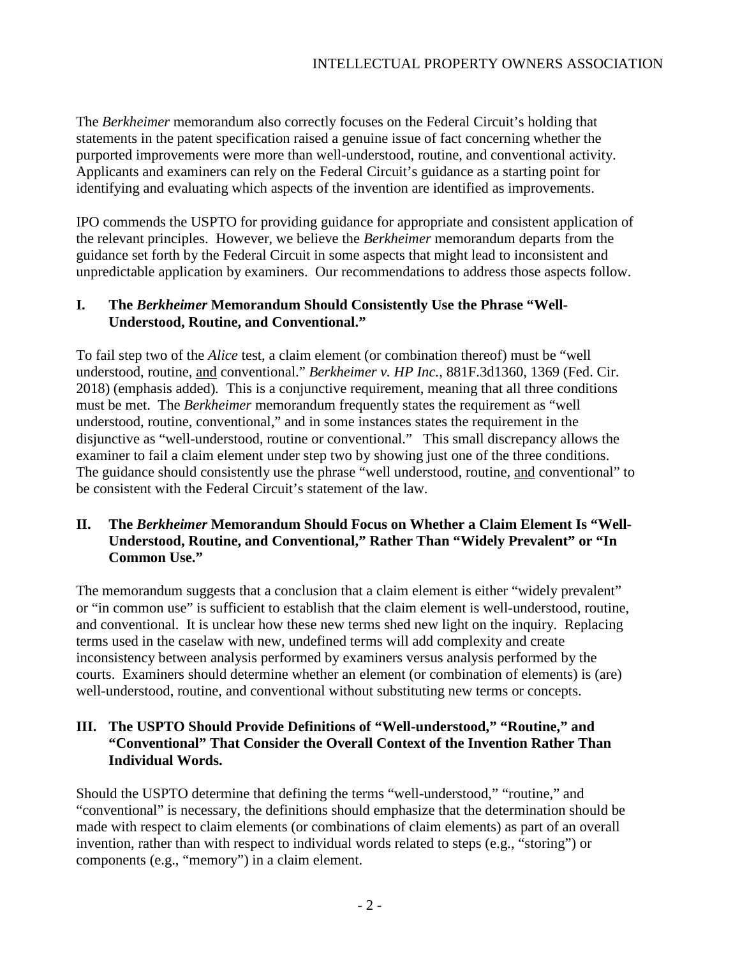The *Berkheimer* memorandum also correctly focuses on the Federal Circuit's holding that statements in the patent specification raised a genuine issue of fact concerning whether the purported improvements were more than well-understood, routine, and conventional activity. Applicants and examiners can rely on the Federal Circuit's guidance as a starting point for identifying and evaluating which aspects of the invention are identified as improvements.

IPO commends the USPTO for providing guidance for appropriate and consistent application of the relevant principles. However, we believe the *Berkheimer* memorandum departs from the guidance set forth by the Federal Circuit in some aspects that might lead to inconsistent and unpredictable application by examiners. Our recommendations to address those aspects follow.

#### **I. The** *Berkheimer* **Memorandum Should Consistently Use the Phrase "Well-Understood, Routine, and Conventional."**

To fail step two of the *Alice* test, a claim element (or combination thereof) must be "well understood, routine, and conventional." *Berkheimer v. HP Inc.*, 881F.3d1360, 1369 (Fed. Cir. 2018) (emphasis added)*.* This is a conjunctive requirement, meaning that all three conditions must be met. The *Berkheimer* memorandum frequently states the requirement as "well understood, routine, conventional," and in some instances states the requirement in the disjunctive as "well-understood, routine or conventional." This small discrepancy allows the examiner to fail a claim element under step two by showing just one of the three conditions. The guidance should consistently use the phrase "well understood, routine, and conventional" to be consistent with the Federal Circuit's statement of the law.

## **II. The** *Berkheimer* **Memorandum Should Focus on Whether a Claim Element Is "Well-Understood, Routine, and Conventional," Rather Than "Widely Prevalent" or "In Common Use."**

The memorandum suggests that a conclusion that a claim element is either "widely prevalent" or "in common use" is sufficient to establish that the claim element is well-understood, routine, and conventional. It is unclear how these new terms shed new light on the inquiry. Replacing terms used in the caselaw with new, undefined terms will add complexity and create inconsistency between analysis performed by examiners versus analysis performed by the courts. Examiners should determine whether an element (or combination of elements) is (are) well-understood, routine, and conventional without substituting new terms or concepts.

# **III. The USPTO Should Provide Definitions of "Well-understood," "Routine," and "Conventional" That Consider the Overall Context of the Invention Rather Than Individual Words.**

Should the USPTO determine that defining the terms "well-understood," "routine," and "conventional" is necessary, the definitions should emphasize that the determination should be made with respect to claim elements (or combinations of claim elements) as part of an overall invention, rather than with respect to individual words related to steps (e.g., "storing") or components (e.g., "memory") in a claim element.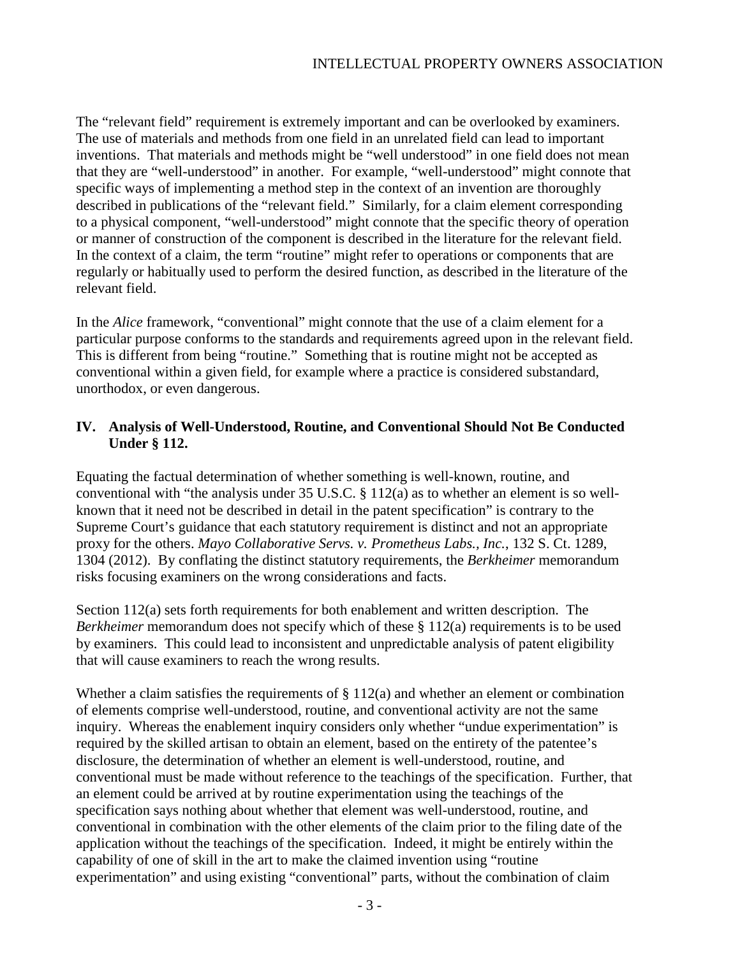The "relevant field" requirement is extremely important and can be overlooked by examiners. The use of materials and methods from one field in an unrelated field can lead to important inventions. That materials and methods might be "well understood" in one field does not mean that they are "well-understood" in another. For example, "well-understood" might connote that specific ways of implementing a method step in the context of an invention are thoroughly described in publications of the "relevant field." Similarly, for a claim element corresponding to a physical component, "well-understood" might connote that the specific theory of operation or manner of construction of the component is described in the literature for the relevant field. In the context of a claim, the term "routine" might refer to operations or components that are regularly or habitually used to perform the desired function, as described in the literature of the relevant field.

In the *Alice* framework, "conventional" might connote that the use of a claim element for a particular purpose conforms to the standards and requirements agreed upon in the relevant field. This is different from being "routine." Something that is routine might not be accepted as conventional within a given field, for example where a practice is considered substandard, unorthodox, or even dangerous.

## **IV. Analysis of Well-Understood, Routine, and Conventional Should Not Be Conducted Under § 112.**

Equating the factual determination of whether something is well-known, routine, and conventional with "the analysis under 35 U.S.C. § 112(a) as to whether an element is so wellknown that it need not be described in detail in the patent specification" is contrary to the Supreme Court's guidance that each statutory requirement is distinct and not an appropriate proxy for the others. *Mayo Collaborative Servs. v. Prometheus Labs., Inc.*, 132 S. Ct. 1289, 1304 (2012). By conflating the distinct statutory requirements, the *Berkheimer* memorandum risks focusing examiners on the wrong considerations and facts.

Section 112(a) sets forth requirements for both enablement and written description. The *Berkheimer* memorandum does not specify which of these § 112(a) requirements is to be used by examiners. This could lead to inconsistent and unpredictable analysis of patent eligibility that will cause examiners to reach the wrong results.

Whether a claim satisfies the requirements of  $\S 112(a)$  and whether an element or combination of elements comprise well-understood, routine, and conventional activity are not the same inquiry. Whereas the enablement inquiry considers only whether "undue experimentation" is required by the skilled artisan to obtain an element, based on the entirety of the patentee's disclosure, the determination of whether an element is well-understood, routine, and conventional must be made without reference to the teachings of the specification. Further, that an element could be arrived at by routine experimentation using the teachings of the specification says nothing about whether that element was well-understood, routine, and conventional in combination with the other elements of the claim prior to the filing date of the application without the teachings of the specification. Indeed, it might be entirely within the capability of one of skill in the art to make the claimed invention using "routine experimentation" and using existing "conventional" parts, without the combination of claim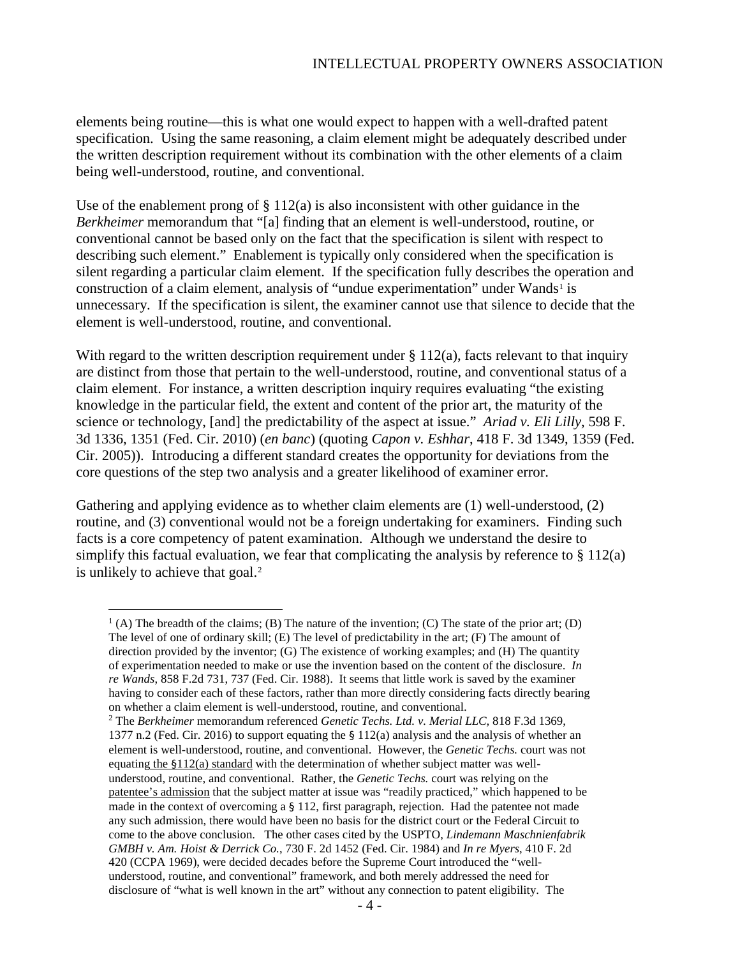elements being routine—this is what one would expect to happen with a well-drafted patent specification. Using the same reasoning, a claim element might be adequately described under the written description requirement without its combination with the other elements of a claim being well-understood, routine, and conventional.

Use of the enablement prong of  $\S 112(a)$  is also inconsistent with other guidance in the *Berkheimer* memorandum that "[a] finding that an element is well-understood, routine, or conventional cannot be based only on the fact that the specification is silent with respect to describing such element." Enablement is typically only considered when the specification is silent regarding a particular claim element. If the specification fully describes the operation and construction of a claim element, analysis of "undue experimentation" under Wands<sup>[1](#page-3-0)</sup> is unnecessary. If the specification is silent, the examiner cannot use that silence to decide that the element is well-understood, routine, and conventional.

With regard to the written description requirement under  $\S 112(a)$ , facts relevant to that inquiry are distinct from those that pertain to the well-understood, routine, and conventional status of a claim element. For instance, a written description inquiry requires evaluating "the existing knowledge in the particular field, the extent and content of the prior art, the maturity of the science or technology, [and] the predictability of the aspect at issue." *Ariad v. Eli Lilly*, 598 F. 3d 1336, 1351 (Fed. Cir. 2010) (*en banc*) (quoting *Capon v. Eshhar*, 418 F. 3d 1349, 1359 (Fed. Cir. 2005)). Introducing a different standard creates the opportunity for deviations from the core questions of the step two analysis and a greater likelihood of examiner error.

Gathering and applying evidence as to whether claim elements are (1) well-understood, (2) routine, and (3) conventional would not be a foreign undertaking for examiners. Finding such facts is a core competency of patent examination. Although we understand the desire to simplify this factual evaluation, we fear that complicating the analysis by reference to  $\S 112(a)$ is unlikely to achieve that goal.<sup>[2](#page-3-1)</sup>

<span id="page-3-0"></span> $<sup>1</sup>$  (A) The breadth of the claims; (B) The nature of the invention; (C) The state of the prior art; (D)</sup> The level of one of ordinary skill; (E) The level of predictability in the art; (F) The amount of direction provided by the inventor; (G) The existence of working examples; and (H) The quantity of experimentation needed to make or use the invention based on the content of the disclosure. *In re Wands*, 858 F.2d 731, 737 (Fed. Cir. 1988). It seems that little work is saved by the examiner having to consider each of these factors, rather than more directly considering facts directly bearing on whether a claim element is well-understood, routine, and conventional.

<span id="page-3-1"></span><sup>2</sup> The *Berkheimer* memorandum referenced *Genetic Techs. Ltd. v. Merial LLC,* 818 F.3d 1369, 1377 n.2 (Fed. Cir. 2016) to support equating the § 112(a) analysis and the analysis of whether an element is well-understood, routine, and conventional. However, the *Genetic Techs.* court was not equating the §112(a) standard with the determination of whether subject matter was wellunderstood, routine, and conventional. Rather, the *Genetic Techs.* court was relying on the patentee's admission that the subject matter at issue was "readily practiced," which happened to be made in the context of overcoming a  $\S$  112, first paragraph, rejection. Had the patentee not made any such admission, there would have been no basis for the district court or the Federal Circuit to come to the above conclusion. The other cases cited by the USPTO, *Lindemann Maschnienfabrik GMBH v. Am. Hoist & Derrick Co.*, 730 F. 2d 1452 (Fed. Cir. 1984) and *In re Myers*, 410 F. 2d 420 (CCPA 1969), were decided decades before the Supreme Court introduced the "wellunderstood, routine, and conventional" framework, and both merely addressed the need for disclosure of "what is well known in the art" without any connection to patent eligibility. The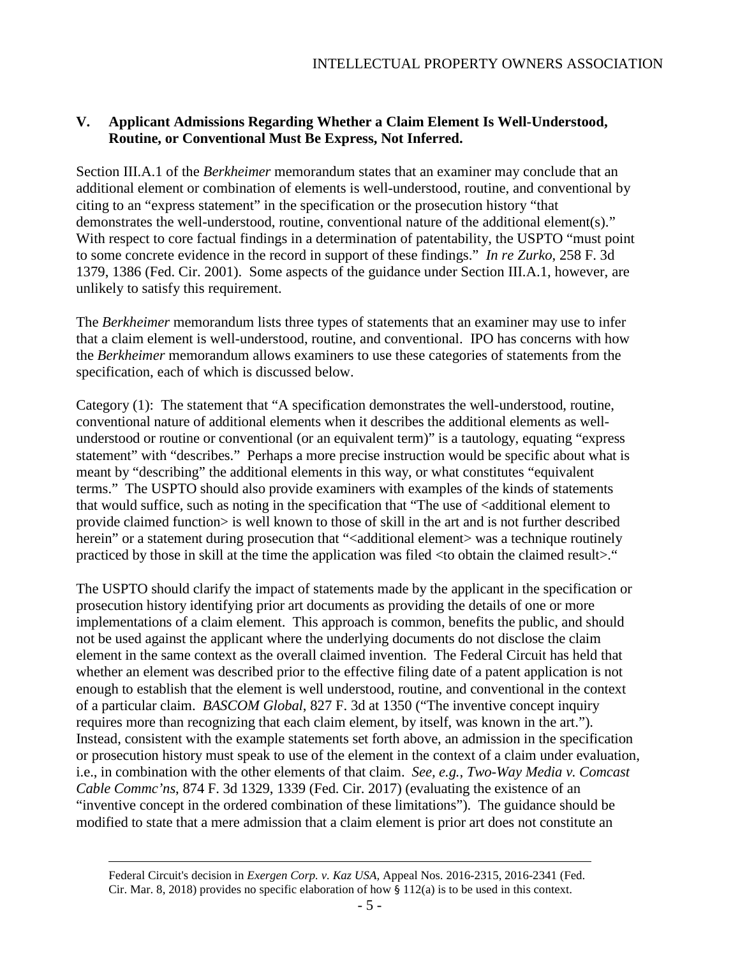### **V. Applicant Admissions Regarding Whether a Claim Element Is Well-Understood, Routine, or Conventional Must Be Express, Not Inferred.**

Section III.A.1 of the *Berkheimer* memorandum states that an examiner may conclude that an additional element or combination of elements is well-understood, routine, and conventional by citing to an "express statement" in the specification or the prosecution history "that demonstrates the well-understood, routine, conventional nature of the additional element(s)." With respect to core factual findings in a determination of patentability, the USPTO "must point to some concrete evidence in the record in support of these findings." *In re Zurko*, 258 F. 3d 1379, 1386 (Fed. Cir. 2001). Some aspects of the guidance under Section III.A.1, however, are unlikely to satisfy this requirement.

The *Berkheimer* memorandum lists three types of statements that an examiner may use to infer that a claim element is well-understood, routine, and conventional. IPO has concerns with how the *Berkheimer* memorandum allows examiners to use these categories of statements from the specification, each of which is discussed below.

Category (1): The statement that "A specification demonstrates the well-understood, routine, conventional nature of additional elements when it describes the additional elements as wellunderstood or routine or conventional (or an equivalent term)" is a tautology, equating "express statement" with "describes." Perhaps a more precise instruction would be specific about what is meant by "describing" the additional elements in this way, or what constitutes "equivalent terms." The USPTO should also provide examiners with examples of the kinds of statements that would suffice, such as noting in the specification that "The use of  $\leq$  additional element to provide claimed function> is well known to those of skill in the art and is not further described herein" or a statement during prosecution that "<additional element> was a technique routinely practiced by those in skill at the time the application was filed <to obtain the claimed result>."

The USPTO should clarify the impact of statements made by the applicant in the specification or prosecution history identifying prior art documents as providing the details of one or more implementations of a claim element. This approach is common, benefits the public, and should not be used against the applicant where the underlying documents do not disclose the claim element in the same context as the overall claimed invention. The Federal Circuit has held that whether an element was described prior to the effective filing date of a patent application is not enough to establish that the element is well understood, routine, and conventional in the context of a particular claim. *BASCOM Global*, 827 F. 3d at 1350 ("The inventive concept inquiry requires more than recognizing that each claim element, by itself, was known in the art."). Instead, consistent with the example statements set forth above, an admission in the specification or prosecution history must speak to use of the element in the context of a claim under evaluation, i.e., in combination with the other elements of that claim. *See, e.g.*, *Two-Way Media v. Comcast Cable Commc'ns*, 874 F. 3d 1329, 1339 (Fed. Cir. 2017) (evaluating the existence of an "inventive concept in the ordered combination of these limitations"). The guidance should be modified to state that a mere admission that a claim element is prior art does not constitute an

 $\overline{a}$ 

Federal Circuit's decision in *Exergen Corp. v. Kaz USA,* Appeal Nos. 2016-2315, 2016-2341 (Fed. Cir. Mar. 8, 2018) provides no specific elaboration of how  $\S 112(a)$  is to be used in this context.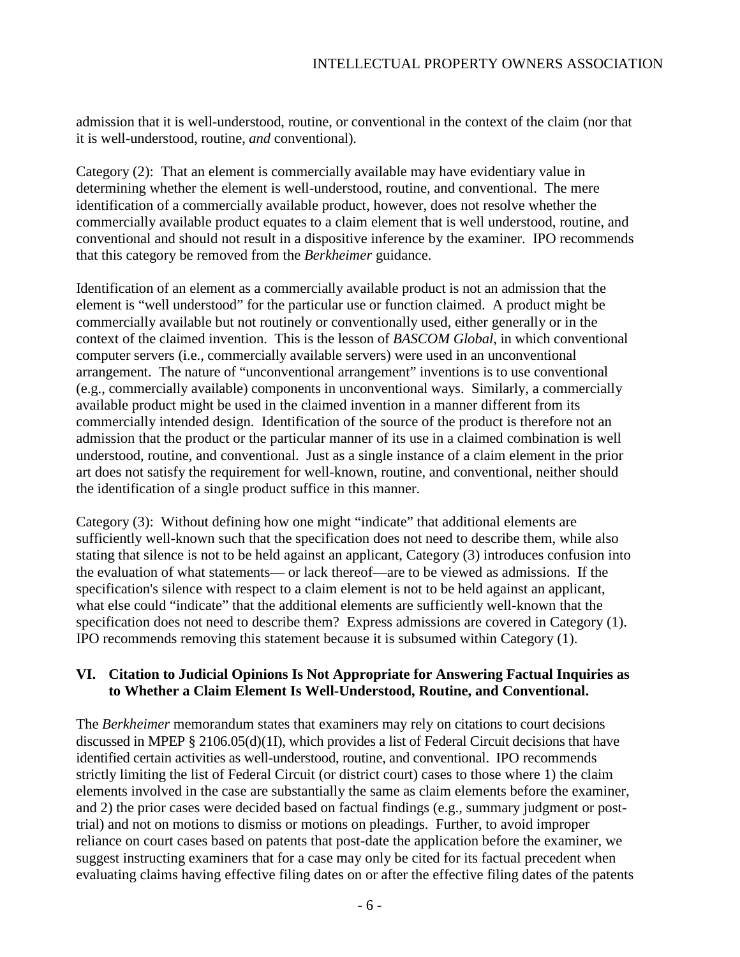admission that it is well-understood, routine, or conventional in the context of the claim (nor that it is well-understood, routine, *and* conventional).

Category (2): That an element is commercially available may have evidentiary value in determining whether the element is well-understood, routine, and conventional. The mere identification of a commercially available product, however, does not resolve whether the commercially available product equates to a claim element that is well understood, routine, and conventional and should not result in a dispositive inference by the examiner. IPO recommends that this category be removed from the *Berkheimer* guidance.

Identification of an element as a commercially available product is not an admission that the element is "well understood" for the particular use or function claimed. A product might be commercially available but not routinely or conventionally used, either generally or in the context of the claimed invention. This is the lesson of *BASCOM Global*, in which conventional computer servers (i.e., commercially available servers) were used in an unconventional arrangement. The nature of "unconventional arrangement" inventions is to use conventional (e.g., commercially available) components in unconventional ways. Similarly, a commercially available product might be used in the claimed invention in a manner different from its commercially intended design. Identification of the source of the product is therefore not an admission that the product or the particular manner of its use in a claimed combination is well understood, routine, and conventional. Just as a single instance of a claim element in the prior art does not satisfy the requirement for well-known, routine, and conventional, neither should the identification of a single product suffice in this manner.

Category (3): Without defining how one might "indicate" that additional elements are sufficiently well-known such that the specification does not need to describe them, while also stating that silence is not to be held against an applicant, Category (3) introduces confusion into the evaluation of what statements— or lack thereof—are to be viewed as admissions. If the specification's silence with respect to a claim element is not to be held against an applicant, what else could "indicate" that the additional elements are sufficiently well-known that the specification does not need to describe them? Express admissions are covered in Category (1). IPO recommends removing this statement because it is subsumed within Category (1).

## **VI. Citation to Judicial Opinions Is Not Appropriate for Answering Factual Inquiries as to Whether a Claim Element Is Well-Understood, Routine, and Conventional.**

The *Berkheimer* memorandum states that examiners may rely on citations to court decisions discussed in MPEP § 2106.05(d)(1I), which provides a list of Federal Circuit decisions that have identified certain activities as well-understood, routine, and conventional. IPO recommends strictly limiting the list of Federal Circuit (or district court) cases to those where 1) the claim elements involved in the case are substantially the same as claim elements before the examiner, and 2) the prior cases were decided based on factual findings (e.g., summary judgment or posttrial) and not on motions to dismiss or motions on pleadings. Further, to avoid improper reliance on court cases based on patents that post-date the application before the examiner, we suggest instructing examiners that for a case may only be cited for its factual precedent when evaluating claims having effective filing dates on or after the effective filing dates of the patents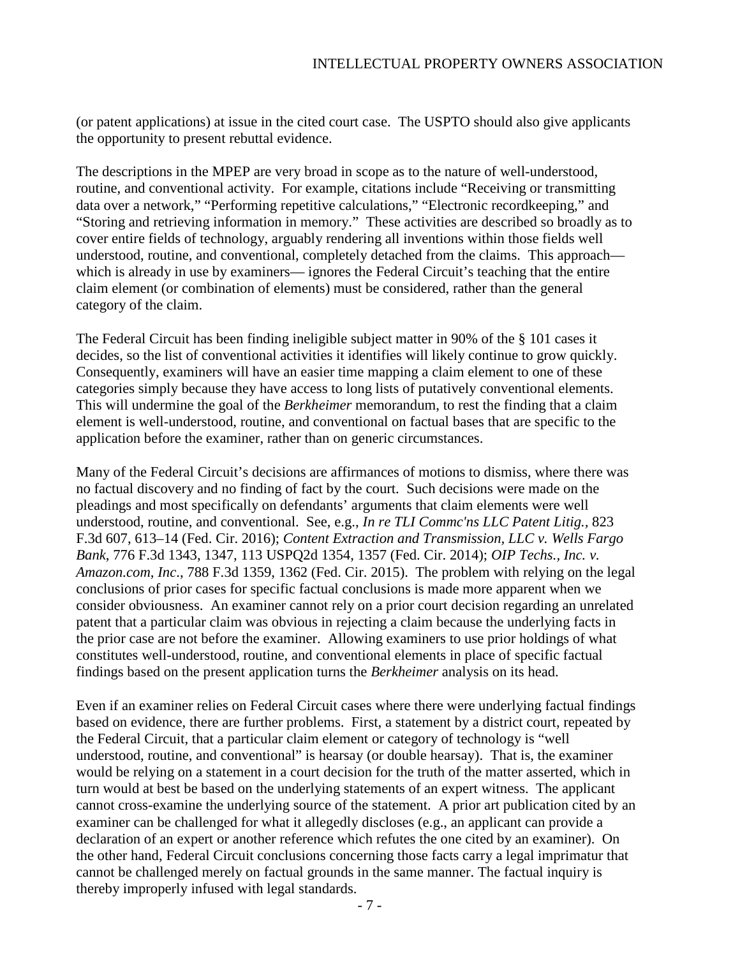(or patent applications) at issue in the cited court case. The USPTO should also give applicants the opportunity to present rebuttal evidence.

The descriptions in the MPEP are very broad in scope as to the nature of well-understood, routine, and conventional activity. For example, citations include "Receiving or transmitting data over a network," "Performing repetitive calculations," "Electronic recordkeeping," and "Storing and retrieving information in memory." These activities are described so broadly as to cover entire fields of technology, arguably rendering all inventions within those fields well understood, routine, and conventional, completely detached from the claims. This approach which is already in use by examiners— ignores the Federal Circuit's teaching that the entire claim element (or combination of elements) must be considered, rather than the general category of the claim.

The Federal Circuit has been finding ineligible subject matter in 90% of the § 101 cases it decides, so the list of conventional activities it identifies will likely continue to grow quickly. Consequently, examiners will have an easier time mapping a claim element to one of these categories simply because they have access to long lists of putatively conventional elements. This will undermine the goal of the *Berkheimer* memorandum, to rest the finding that a claim element is well-understood, routine, and conventional on factual bases that are specific to the application before the examiner, rather than on generic circumstances.

Many of the Federal Circuit's decisions are affirmances of motions to dismiss, where there was no factual discovery and no finding of fact by the court. Such decisions were made on the pleadings and most specifically on defendants' arguments that claim elements were well understood, routine, and conventional. See, e.g., *In re TLI Commc'ns LLC Patent Litig.,* 823 F.3d 607, 613–14 (Fed. Cir. 2016); *Content Extraction and Transmission, LLC v. Wells Fargo Bank*, 776 F.3d 1343, 1347, 113 USPQ2d 1354, 1357 (Fed. Cir. 2014); *OIP Techs., Inc. v. Amazon.com, Inc*., 788 F.3d 1359, 1362 (Fed. Cir. 2015). The problem with relying on the legal conclusions of prior cases for specific factual conclusions is made more apparent when we consider obviousness. An examiner cannot rely on a prior court decision regarding an unrelated patent that a particular claim was obvious in rejecting a claim because the underlying facts in the prior case are not before the examiner. Allowing examiners to use prior holdings of what constitutes well-understood, routine, and conventional elements in place of specific factual findings based on the present application turns the *Berkheimer* analysis on its head.

Even if an examiner relies on Federal Circuit cases where there were underlying factual findings based on evidence, there are further problems. First, a statement by a district court, repeated by the Federal Circuit, that a particular claim element or category of technology is "well understood, routine, and conventional" is hearsay (or double hearsay). That is, the examiner would be relying on a statement in a court decision for the truth of the matter asserted, which in turn would at best be based on the underlying statements of an expert witness. The applicant cannot cross-examine the underlying source of the statement. A prior art publication cited by an examiner can be challenged for what it allegedly discloses (e.g., an applicant can provide a declaration of an expert or another reference which refutes the one cited by an examiner). On the other hand, Federal Circuit conclusions concerning those facts carry a legal imprimatur that cannot be challenged merely on factual grounds in the same manner. The factual inquiry is thereby improperly infused with legal standards.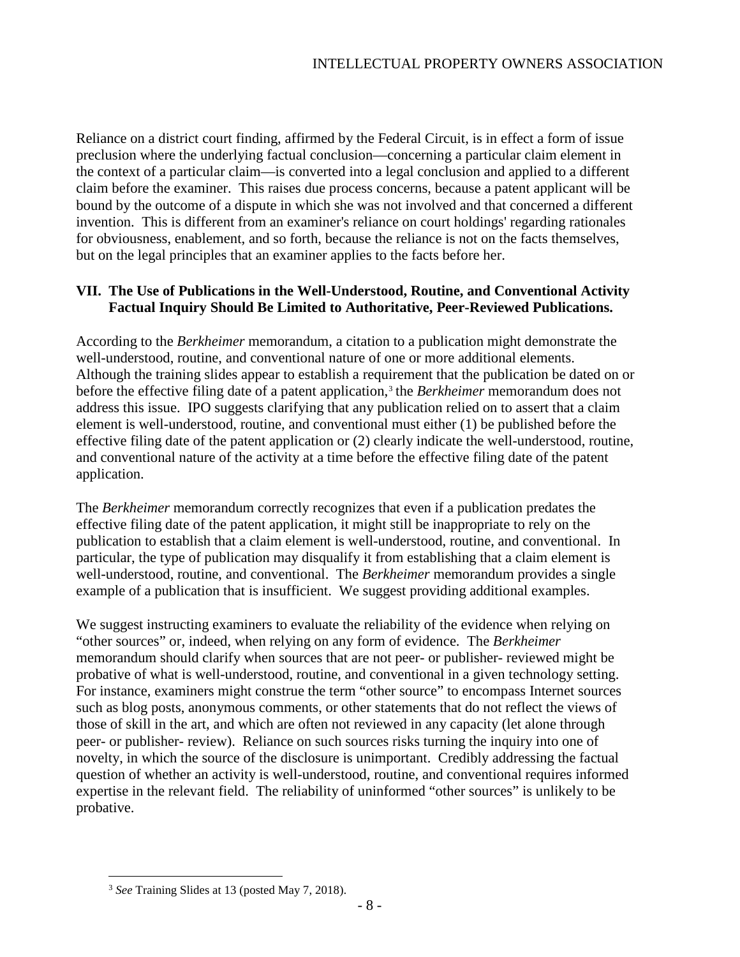Reliance on a district court finding, affirmed by the Federal Circuit, is in effect a form of issue preclusion where the underlying factual conclusion—concerning a particular claim element in the context of a particular claim—is converted into a legal conclusion and applied to a different claim before the examiner. This raises due process concerns, because a patent applicant will be bound by the outcome of a dispute in which she was not involved and that concerned a different invention. This is different from an examiner's reliance on court holdings' regarding rationales for obviousness, enablement, and so forth, because the reliance is not on the facts themselves, but on the legal principles that an examiner applies to the facts before her.

## **VII. The Use of Publications in the Well-Understood, Routine, and Conventional Activity Factual Inquiry Should Be Limited to Authoritative, Peer-Reviewed Publications.**

According to the *Berkheimer* memorandum, a citation to a publication might demonstrate the well-understood, routine, and conventional nature of one or more additional elements. Although the training slides appear to establish a requirement that the publication be dated on or before the effective filing date of a patent application,<sup>[3](#page-7-0)</sup> the *Berkheimer* memorandum does not address this issue. IPO suggests clarifying that any publication relied on to assert that a claim element is well-understood, routine, and conventional must either (1) be published before the effective filing date of the patent application or (2) clearly indicate the well-understood, routine, and conventional nature of the activity at a time before the effective filing date of the patent application.

The *Berkheimer* memorandum correctly recognizes that even if a publication predates the effective filing date of the patent application, it might still be inappropriate to rely on the publication to establish that a claim element is well-understood, routine, and conventional. In particular, the type of publication may disqualify it from establishing that a claim element is well-understood, routine, and conventional. The *Berkheimer* memorandum provides a single example of a publication that is insufficient. We suggest providing additional examples.

We suggest instructing examiners to evaluate the reliability of the evidence when relying on "other sources" or, indeed, when relying on any form of evidence. The *Berkheimer*  memorandum should clarify when sources that are not peer- or publisher- reviewed might be probative of what is well-understood, routine, and conventional in a given technology setting. For instance, examiners might construe the term "other source" to encompass Internet sources such as blog posts, anonymous comments, or other statements that do not reflect the views of those of skill in the art, and which are often not reviewed in any capacity (let alone through peer- or publisher- review). Reliance on such sources risks turning the inquiry into one of novelty, in which the source of the disclosure is unimportant. Credibly addressing the factual question of whether an activity is well-understood, routine, and conventional requires informed expertise in the relevant field. The reliability of uninformed "other sources" is unlikely to be probative.

<span id="page-7-0"></span> <sup>3</sup> *See* Training Slides at 13 (posted May 7, 2018).